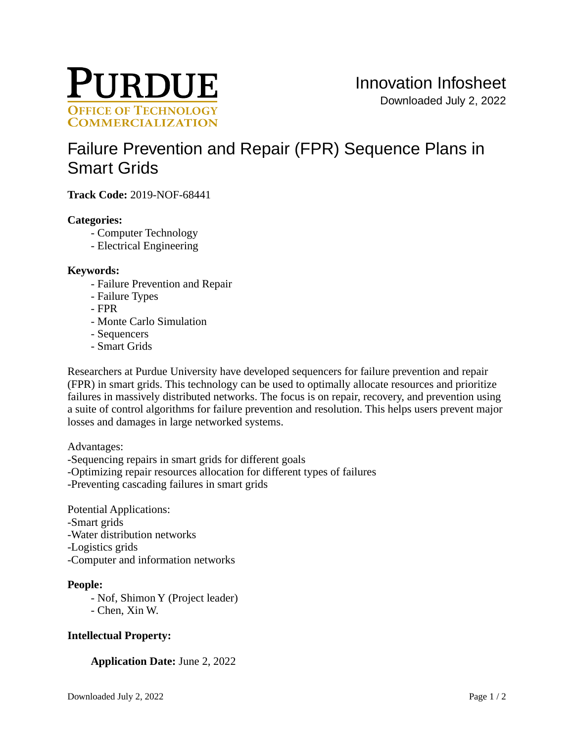

# [Failure Prevention and Repair \(FPR\) Sequence Plans in](https://inventions.prf.org/innovation/7046)  [Smart Grids](https://inventions.prf.org/innovation/7046)

**Track Code:** 2019-NOF-68441

## **Categories:**

- Computer Technology
- Electrical Engineering

#### **Keywords:**

- Failure Prevention and Repair
- Failure Types
- FPR
- Monte Carlo Simulation
- Sequencers
- Smart Grids

Researchers at Purdue University have developed sequencers for failure prevention and repair (FPR) in smart grids. This technology can be used to optimally allocate resources and prioritize failures in massively distributed networks. The focus is on repair, recovery, and prevention using a suite of control algorithms for failure prevention and resolution. This helps users prevent major losses and damages in large networked systems.

Advantages:

-Sequencing repairs in smart grids for different goals

-Optimizing repair resources allocation for different types of failures

-Preventing cascading failures in smart grids

Potential Applications: -Smart grids -Water distribution networks -Logistics grids -Computer and information networks

## **People:**

- Nof, Shimon Y (Project leader) - Chen, Xin W.

## **Intellectual Property:**

## **Application Date:** June 2, 2022